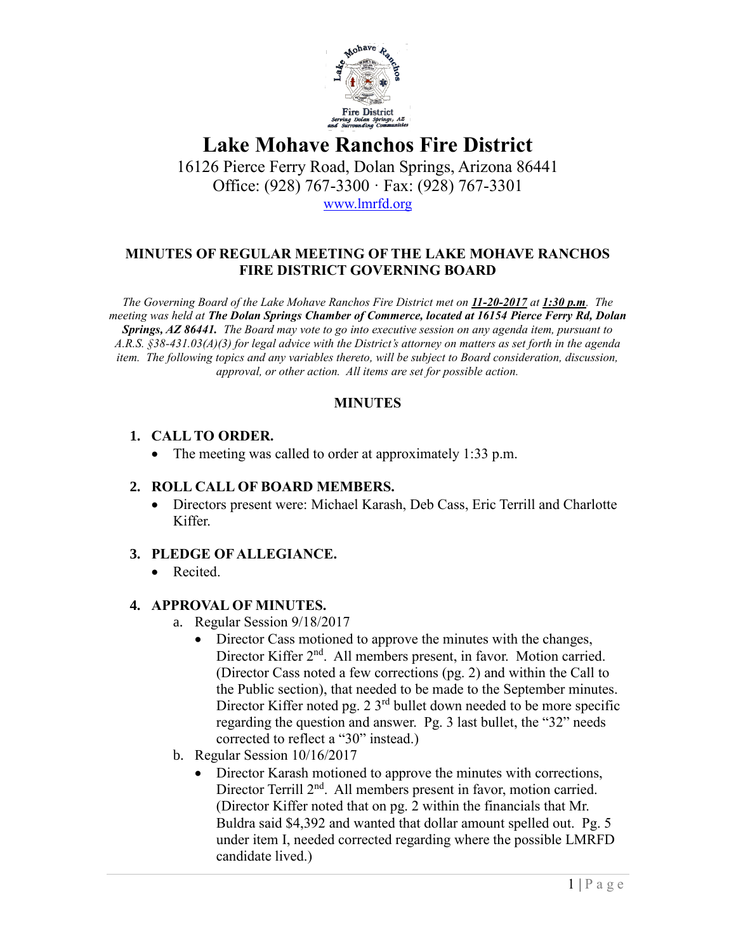

16126 Pierce Ferry Road, Dolan Springs, Arizona 86441 Office: (928) 767-3300 · Fax: (928) 767-3301 [www.lmrfd.org](http://www.lmrfd.org/)

#### **MINUTES OF REGULAR MEETING OF THE LAKE MOHAVE RANCHOS FIRE DISTRICT GOVERNING BOARD**

*The Governing Board of the Lake Mohave Ranchos Fire District met on 11-20-2017 at 1:30 p.m. The meeting was held at The Dolan Springs Chamber of Commerce, located at 16154 Pierce Ferry Rd, Dolan Springs, AZ 86441. The Board may vote to go into executive session on any agenda item, pursuant to A.R.S. §38-431.03(A)(3) for legal advice with the District's attorney on matters as set forth in the agenda item. The following topics and any variables thereto, will be subject to Board consideration, discussion, approval, or other action. All items are set for possible action.*

#### **MINUTES**

#### **1. CALL TO ORDER.**

• The meeting was called to order at approximately 1:33 p.m.

### **2. ROLL CALL OF BOARD MEMBERS.**

• Directors present were: Michael Karash, Deb Cass, Eric Terrill and Charlotte Kiffer.

### **3. PLEDGE OF ALLEGIANCE.**

• Recited.

### **4. APPROVAL OF MINUTES.**

- a. Regular Session 9/18/2017
	- Director Cass motioned to approve the minutes with the changes, Director Kiffer 2<sup>nd</sup>. All members present, in favor. Motion carried. (Director Cass noted a few corrections (pg. 2) and within the Call to the Public section), that needed to be made to the September minutes. Director Kiffer noted pg. 2  $3<sup>rd</sup>$  bullet down needed to be more specific regarding the question and answer. Pg. 3 last bullet, the "32" needs corrected to reflect a "30" instead.)
- b. Regular Session 10/16/2017
	- Director Karash motioned to approve the minutes with corrections, Director Terrill 2<sup>nd</sup>. All members present in favor, motion carried. (Director Kiffer noted that on pg. 2 within the financials that Mr. Buldra said \$4,392 and wanted that dollar amount spelled out. Pg. 5 under item I, needed corrected regarding where the possible LMRFD candidate lived.)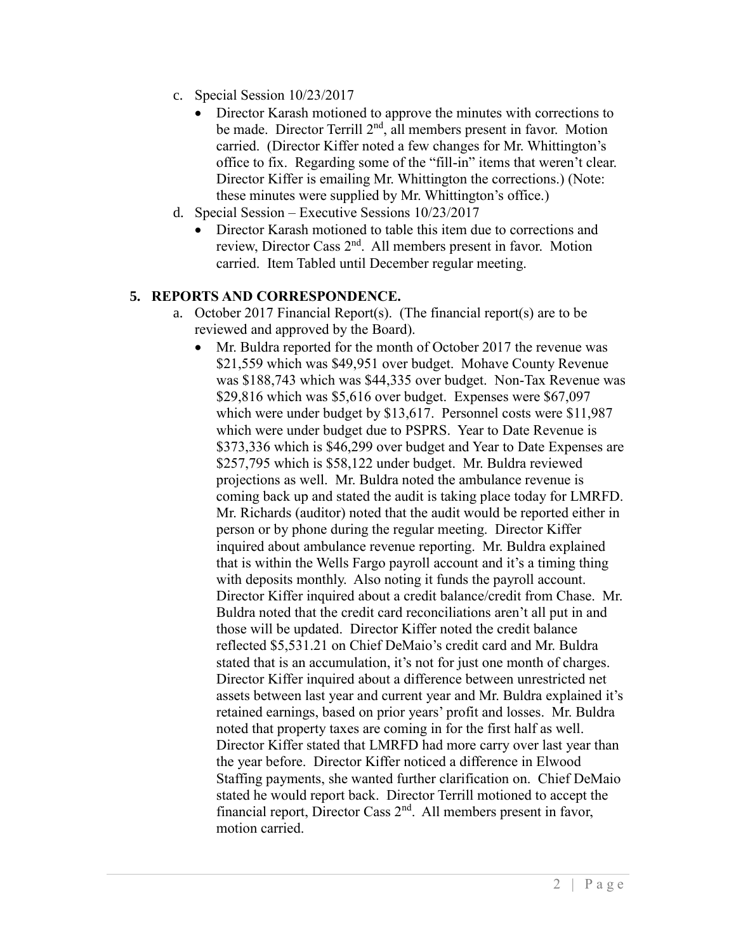- c. Special Session 10/23/2017
	- Director Karash motioned to approve the minutes with corrections to be made. Director Terrill  $2<sup>nd</sup>$ , all members present in favor. Motion carried. (Director Kiffer noted a few changes for Mr. Whittington's office to fix. Regarding some of the "fill-in" items that weren't clear. Director Kiffer is emailing Mr. Whittington the corrections.) (Note: these minutes were supplied by Mr. Whittington's office.)
- d. Special Session Executive Sessions 10/23/2017
	- Director Karash motioned to table this item due to corrections and review, Director Cass 2nd. All members present in favor. Motion carried. Item Tabled until December regular meeting.

#### **5. REPORTS AND CORRESPONDENCE.**

- a. October 2017 Financial Report(s). (The financial report(s) are to be reviewed and approved by the Board).
	- Mr. Buldra reported for the month of October 2017 the revenue was \$21,559 which was \$49,951 over budget. Mohave County Revenue was \$188,743 which was \$44,335 over budget. Non-Tax Revenue was \$29,816 which was \$5,616 over budget. Expenses were \$67,097 which were under budget by \$13,617. Personnel costs were \$11,987 which were under budget due to PSPRS. Year to Date Revenue is \$373,336 which is \$46,299 over budget and Year to Date Expenses are \$257,795 which is \$58,122 under budget. Mr. Buldra reviewed projections as well. Mr. Buldra noted the ambulance revenue is coming back up and stated the audit is taking place today for LMRFD. Mr. Richards (auditor) noted that the audit would be reported either in person or by phone during the regular meeting. Director Kiffer inquired about ambulance revenue reporting. Mr. Buldra explained that is within the Wells Fargo payroll account and it's a timing thing with deposits monthly. Also noting it funds the payroll account. Director Kiffer inquired about a credit balance/credit from Chase. Mr. Buldra noted that the credit card reconciliations aren't all put in and those will be updated. Director Kiffer noted the credit balance reflected \$5,531.21 on Chief DeMaio's credit card and Mr. Buldra stated that is an accumulation, it's not for just one month of charges. Director Kiffer inquired about a difference between unrestricted net assets between last year and current year and Mr. Buldra explained it's retained earnings, based on prior years' profit and losses. Mr. Buldra noted that property taxes are coming in for the first half as well. Director Kiffer stated that LMRFD had more carry over last year than the year before. Director Kiffer noticed a difference in Elwood Staffing payments, she wanted further clarification on. Chief DeMaio stated he would report back. Director Terrill motioned to accept the financial report, Director Cass 2nd. All members present in favor, motion carried.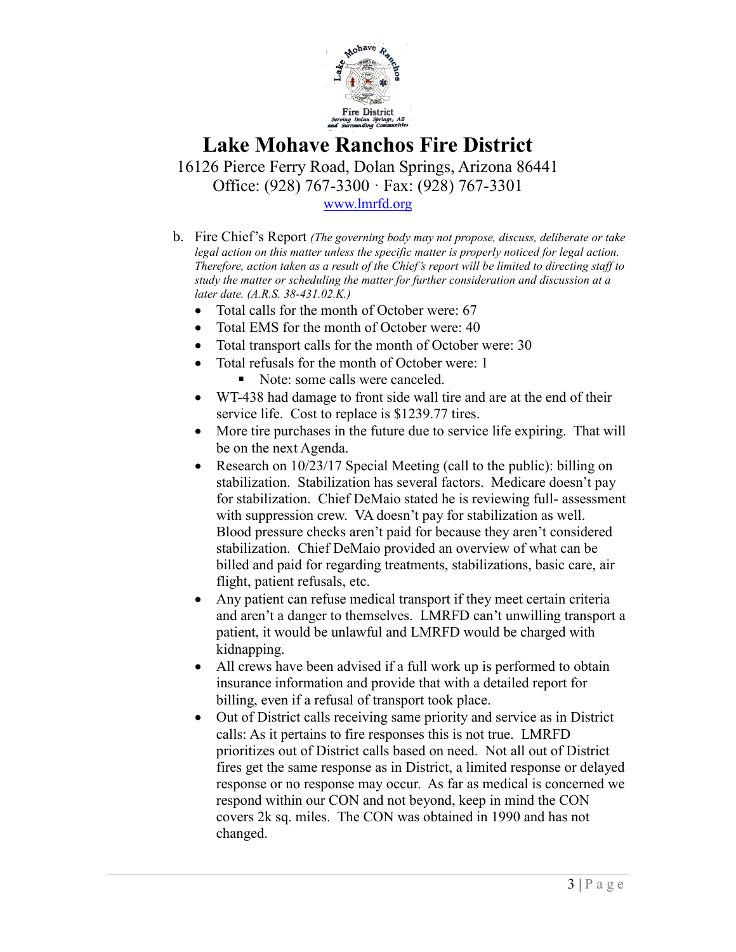

16126 Pierce Ferry Road, Dolan Springs, Arizona 86441 Office: (928) 767-3300 · Fax: (928) 767-3301 [www.lmrfd.org](http://www.lmrfd.org/)

b. Fire Chief's Report *(The governing body may not propose, discuss, deliberate or take legal action on this matter unless the specific matter is properly noticed for legal action. Therefore, action taken as a result of the Chief's report will be limited to directing staff to study the matter or scheduling the matter for further consideration and discussion at a later date. (A.R.S. 38-431.02.K.)*

- Total calls for the month of October were: 67
- Total EMS for the month of October were: 40
- Total transport calls for the month of October were: 30
- Total refusals for the month of October were: 1
	- Note: some calls were canceled.
- WT-438 had damage to front side wall tire and are at the end of their service life. Cost to replace is \$1239.77 tires.
- More tire purchases in the future due to service life expiring. That will be on the next Agenda.
- Research on 10/23/17 Special Meeting (call to the public): billing on stabilization. Stabilization has several factors. Medicare doesn't pay for stabilization. Chief DeMaio stated he is reviewing full- assessment with suppression crew. VA doesn't pay for stabilization as well. Blood pressure checks aren't paid for because they aren't considered stabilization. Chief DeMaio provided an overview of what can be billed and paid for regarding treatments, stabilizations, basic care, air flight, patient refusals, etc.
- Any patient can refuse medical transport if they meet certain criteria and aren't a danger to themselves. LMRFD can't unwilling transport a patient, it would be unlawful and LMRFD would be charged with kidnapping.
- All crews have been advised if a full work up is performed to obtain insurance information and provide that with a detailed report for billing, even if a refusal of transport took place.
- Out of District calls receiving same priority and service as in District calls: As it pertains to fire responses this is not true. LMRFD prioritizes out of District calls based on need. Not all out of District fires get the same response as in District, a limited response or delayed response or no response may occur. As far as medical is concerned we respond within our CON and not beyond, keep in mind the CON covers 2k sq. miles. The CON was obtained in 1990 and has not changed.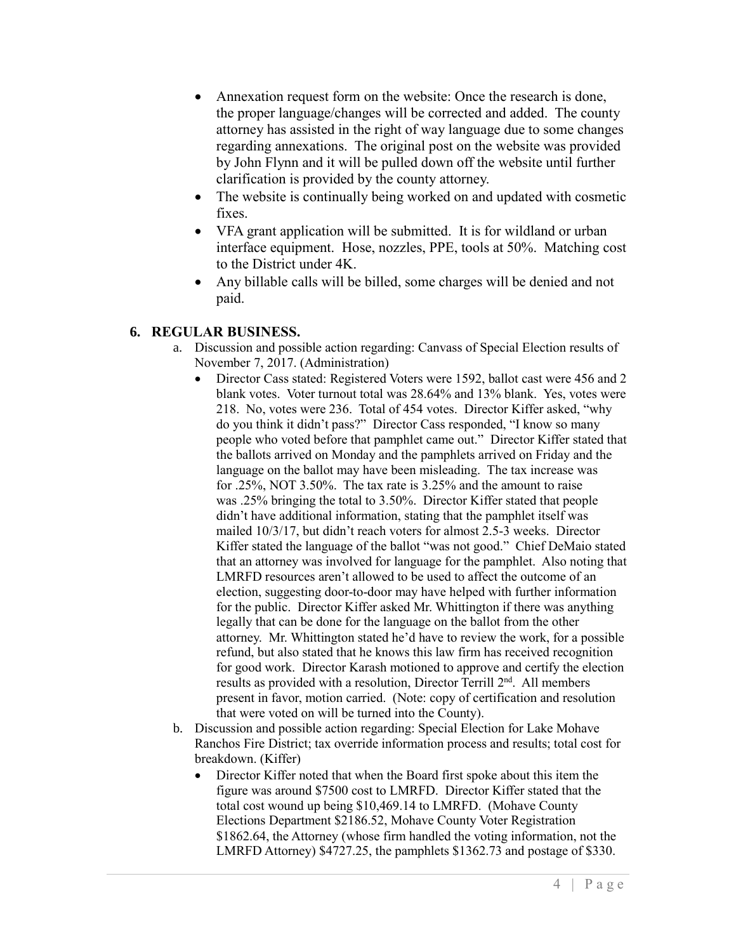- Annexation request form on the website: Once the research is done, the proper language/changes will be corrected and added. The county attorney has assisted in the right of way language due to some changes regarding annexations. The original post on the website was provided by John Flynn and it will be pulled down off the website until further clarification is provided by the county attorney.
- The website is continually being worked on and updated with cosmetic fixes.
- VFA grant application will be submitted. It is for wildland or urban interface equipment. Hose, nozzles, PPE, tools at 50%. Matching cost to the District under 4K.
- Any billable calls will be billed, some charges will be denied and not paid.

### **6. REGULAR BUSINESS.**

- a. Discussion and possible action regarding: Canvass of Special Election results of November 7, 2017. (Administration)
	- Director Cass stated: Registered Voters were 1592, ballot cast were 456 and 2 blank votes. Voter turnout total was 28.64% and 13% blank. Yes, votes were 218. No, votes were 236. Total of 454 votes. Director Kiffer asked, "why do you think it didn't pass?" Director Cass responded, "I know so many people who voted before that pamphlet came out." Director Kiffer stated that the ballots arrived on Monday and the pamphlets arrived on Friday and the language on the ballot may have been misleading. The tax increase was for .25%, NOT 3.50%. The tax rate is 3.25% and the amount to raise was .25% bringing the total to 3.50%. Director Kiffer stated that people didn't have additional information, stating that the pamphlet itself was mailed 10/3/17, but didn't reach voters for almost 2.5-3 weeks. Director Kiffer stated the language of the ballot "was not good." Chief DeMaio stated that an attorney was involved for language for the pamphlet. Also noting that LMRFD resources aren't allowed to be used to affect the outcome of an election, suggesting door-to-door may have helped with further information for the public. Director Kiffer asked Mr. Whittington if there was anything legally that can be done for the language on the ballot from the other attorney. Mr. Whittington stated he'd have to review the work, for a possible refund, but also stated that he knows this law firm has received recognition for good work. Director Karash motioned to approve and certify the election results as provided with a resolution, Director Terrill 2nd. All members present in favor, motion carried. (Note: copy of certification and resolution that were voted on will be turned into the County).
- b. Discussion and possible action regarding: Special Election for Lake Mohave Ranchos Fire District; tax override information process and results; total cost for breakdown. (Kiffer)
	- Director Kiffer noted that when the Board first spoke about this item the figure was around \$7500 cost to LMRFD. Director Kiffer stated that the total cost wound up being \$10,469.14 to LMRFD. (Mohave County Elections Department \$2186.52, Mohave County Voter Registration \$1862.64, the Attorney (whose firm handled the voting information, not the LMRFD Attorney) \$4727.25, the pamphlets \$1362.73 and postage of \$330.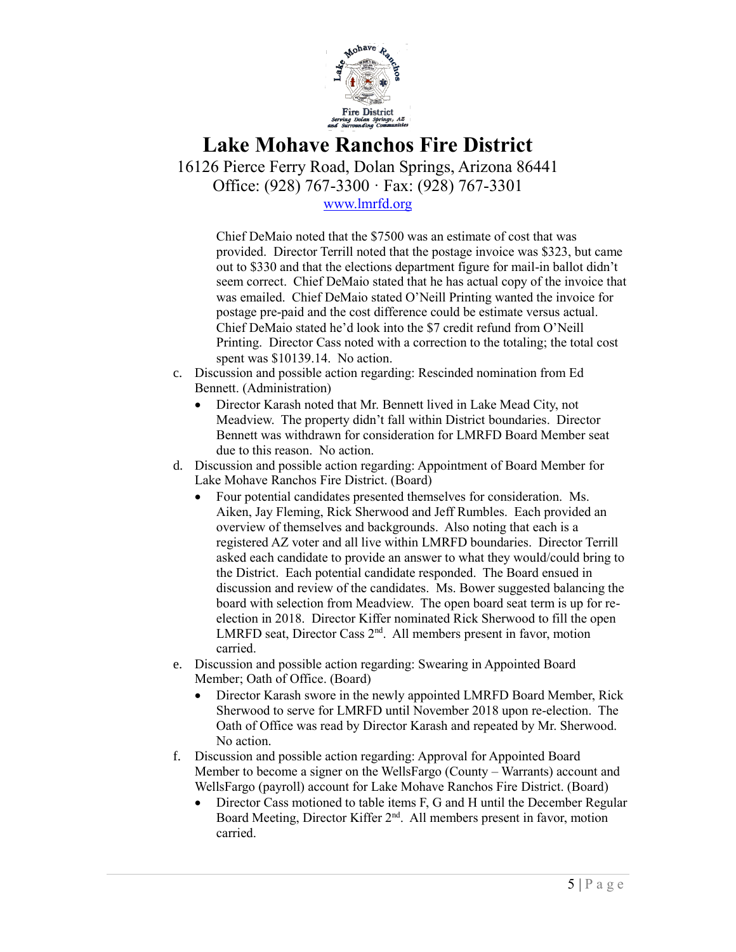

16126 Pierce Ferry Road, Dolan Springs, Arizona 86441 Office: (928) 767-3300 · Fax: (928) 767-3301

[www.lmrfd.org](http://www.lmrfd.org/)

Chief DeMaio noted that the \$7500 was an estimate of cost that was provided. Director Terrill noted that the postage invoice was \$323, but came out to \$330 and that the elections department figure for mail-in ballot didn't seem correct. Chief DeMaio stated that he has actual copy of the invoice that was emailed. Chief DeMaio stated O'Neill Printing wanted the invoice for postage pre-paid and the cost difference could be estimate versus actual. Chief DeMaio stated he'd look into the \$7 credit refund from O'Neill Printing. Director Cass noted with a correction to the totaling; the total cost spent was \$10139.14. No action.

- c. Discussion and possible action regarding: Rescinded nomination from Ed Bennett. (Administration)
	- Director Karash noted that Mr. Bennett lived in Lake Mead City, not Meadview. The property didn't fall within District boundaries. Director Bennett was withdrawn for consideration for LMRFD Board Member seat due to this reason. No action.
- d. Discussion and possible action regarding: Appointment of Board Member for Lake Mohave Ranchos Fire District. (Board)
	- Four potential candidates presented themselves for consideration. Ms. Aiken, Jay Fleming, Rick Sherwood and Jeff Rumbles. Each provided an overview of themselves and backgrounds. Also noting that each is a registered AZ voter and all live within LMRFD boundaries. Director Terrill asked each candidate to provide an answer to what they would/could bring to the District. Each potential candidate responded. The Board ensued in discussion and review of the candidates. Ms. Bower suggested balancing the board with selection from Meadview. The open board seat term is up for reelection in 2018. Director Kiffer nominated Rick Sherwood to fill the open LMRFD seat, Director Cass 2<sup>nd</sup>. All members present in favor, motion carried.
- e. Discussion and possible action regarding: Swearing in Appointed Board Member; Oath of Office. (Board)
	- Director Karash swore in the newly appointed LMRFD Board Member, Rick Sherwood to serve for LMRFD until November 2018 upon re-election. The Oath of Office was read by Director Karash and repeated by Mr. Sherwood. No action.
- f. Discussion and possible action regarding: Approval for Appointed Board Member to become a signer on the WellsFargo (County – Warrants) account and WellsFargo (payroll) account for Lake Mohave Ranchos Fire District. (Board)
	- Director Cass motioned to table items F, G and H until the December Regular Board Meeting, Director Kiffer 2<sup>nd</sup>. All members present in favor, motion carried.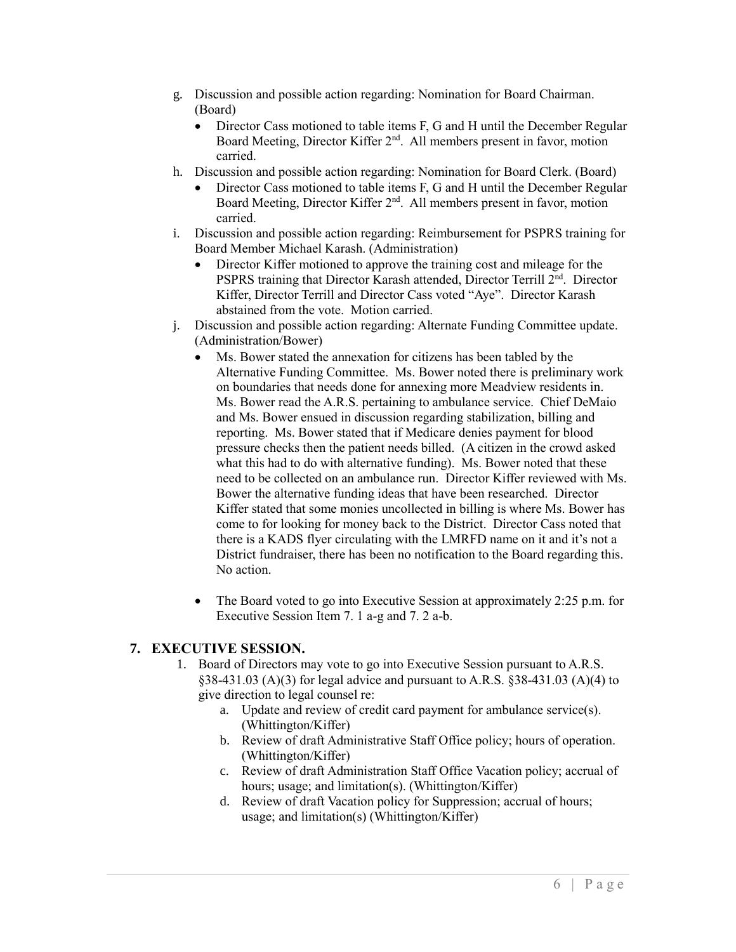- g. Discussion and possible action regarding: Nomination for Board Chairman. (Board)
	- Director Cass motioned to table items F, G and H until the December Regular Board Meeting, Director Kiffer 2<sup>nd</sup>. All members present in favor, motion carried.
- h. Discussion and possible action regarding: Nomination for Board Clerk. (Board)
	- Director Cass motioned to table items F, G and H until the December Regular Board Meeting, Director Kiffer 2<sup>nd</sup>. All members present in favor, motion carried.
- i. Discussion and possible action regarding: Reimbursement for PSPRS training for Board Member Michael Karash. (Administration)
	- Director Kiffer motioned to approve the training cost and mileage for the PSPRS training that Director Karash attended, Director Terrill 2nd. Director Kiffer, Director Terrill and Director Cass voted "Aye". Director Karash abstained from the vote. Motion carried.
- j. Discussion and possible action regarding: Alternate Funding Committee update. (Administration/Bower)
	- Ms. Bower stated the annexation for citizens has been tabled by the Alternative Funding Committee. Ms. Bower noted there is preliminary work on boundaries that needs done for annexing more Meadview residents in. Ms. Bower read the A.R.S. pertaining to ambulance service. Chief DeMaio and Ms. Bower ensued in discussion regarding stabilization, billing and reporting. Ms. Bower stated that if Medicare denies payment for blood pressure checks then the patient needs billed. (A citizen in the crowd asked what this had to do with alternative funding). Ms. Bower noted that these need to be collected on an ambulance run. Director Kiffer reviewed with Ms. Bower the alternative funding ideas that have been researched. Director Kiffer stated that some monies uncollected in billing is where Ms. Bower has come to for looking for money back to the District. Director Cass noted that there is a KADS flyer circulating with the LMRFD name on it and it's not a District fundraiser, there has been no notification to the Board regarding this. No action.
	- The Board voted to go into Executive Session at approximately 2:25 p.m. for Executive Session Item 7. 1 a-g and 7. 2 a-b.

### **7. EXECUTIVE SESSION.**

- 1. Board of Directors may vote to go into Executive Session pursuant to A.R.S. §38-431.03 (A)(3) for legal advice and pursuant to A.R.S. §38-431.03 (A)(4) to give direction to legal counsel re:
	- a. Update and review of credit card payment for ambulance service(s). (Whittington/Kiffer)
	- b. Review of draft Administrative Staff Office policy; hours of operation. (Whittington/Kiffer)
	- c. Review of draft Administration Staff Office Vacation policy; accrual of hours; usage; and limitation(s). (Whittington/Kiffer)
	- d. Review of draft Vacation policy for Suppression; accrual of hours; usage; and limitation(s) (Whittington/Kiffer)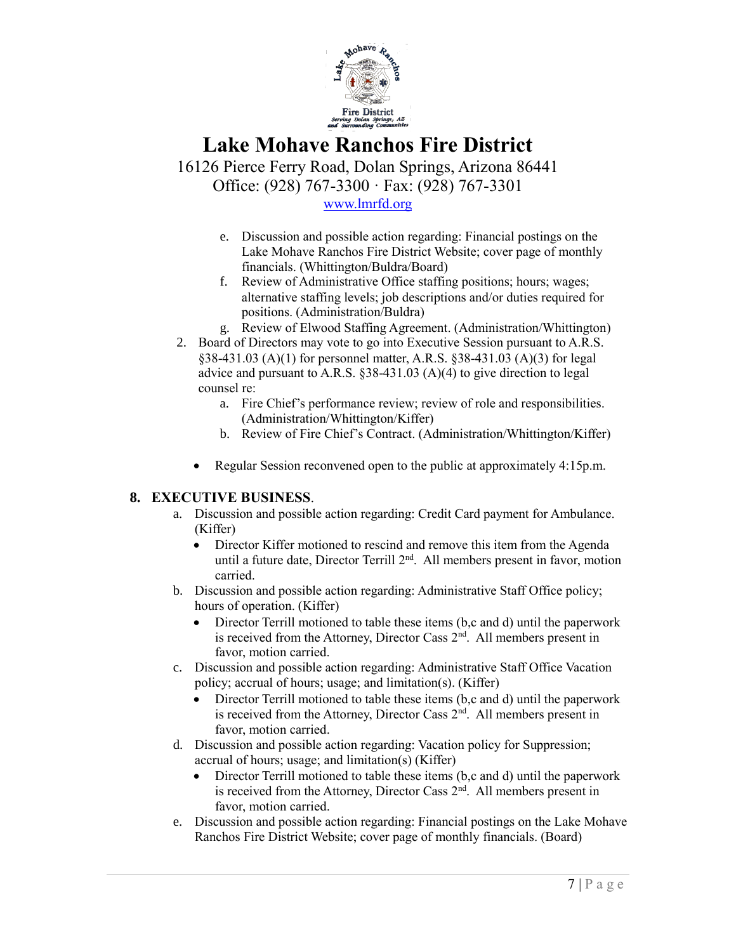

16126 Pierce Ferry Road, Dolan Springs, Arizona 86441 Office: (928) 767-3300 · Fax: (928) 767-3301

[www.lmrfd.org](http://www.lmrfd.org/)

- e. Discussion and possible action regarding: Financial postings on the Lake Mohave Ranchos Fire District Website; cover page of monthly financials. (Whittington/Buldra/Board)
- f. Review of Administrative Office staffing positions; hours; wages; alternative staffing levels; job descriptions and/or duties required for positions. (Administration/Buldra)
- g. Review of Elwood Staffing Agreement. (Administration/Whittington)
- 2. Board of Directors may vote to go into Executive Session pursuant to A.R.S. §38-431.03 (A)(1) for personnel matter, A.R.S. §38-431.03 (A)(3) for legal advice and pursuant to A.R.S. §38-431.03 (A)(4) to give direction to legal counsel re:
	- a. Fire Chief's performance review; review of role and responsibilities. (Administration/Whittington/Kiffer)
	- b. Review of Fire Chief's Contract. (Administration/Whittington/Kiffer)
	- Regular Session reconvened open to the public at approximately 4:15p.m.

#### **8. EXECUTIVE BUSINESS**.

- a. Discussion and possible action regarding: Credit Card payment for Ambulance. (Kiffer)
	- Director Kiffer motioned to rescind and remove this item from the Agenda until a future date, Director Terrill 2<sup>nd</sup>. All members present in favor, motion carried.
- b. Discussion and possible action regarding: Administrative Staff Office policy; hours of operation. (Kiffer)
	- Director Terrill motioned to table these items (b,c and d) until the paperwork is received from the Attorney, Director Cass 2<sup>nd</sup>. All members present in favor, motion carried.
- c. Discussion and possible action regarding: Administrative Staff Office Vacation policy; accrual of hours; usage; and limitation(s). (Kiffer)
	- Director Terrill motioned to table these items (b,c and d) until the paperwork is received from the Attorney, Director Cass  $2<sup>nd</sup>$ . All members present in favor, motion carried.
- d. Discussion and possible action regarding: Vacation policy for Suppression; accrual of hours; usage; and limitation(s) (Kiffer)
	- Director Terrill motioned to table these items (b,c and d) until the paperwork is received from the Attorney, Director Cass 2<sup>nd</sup>. All members present in favor, motion carried.
- e. Discussion and possible action regarding: Financial postings on the Lake Mohave Ranchos Fire District Website; cover page of monthly financials. (Board)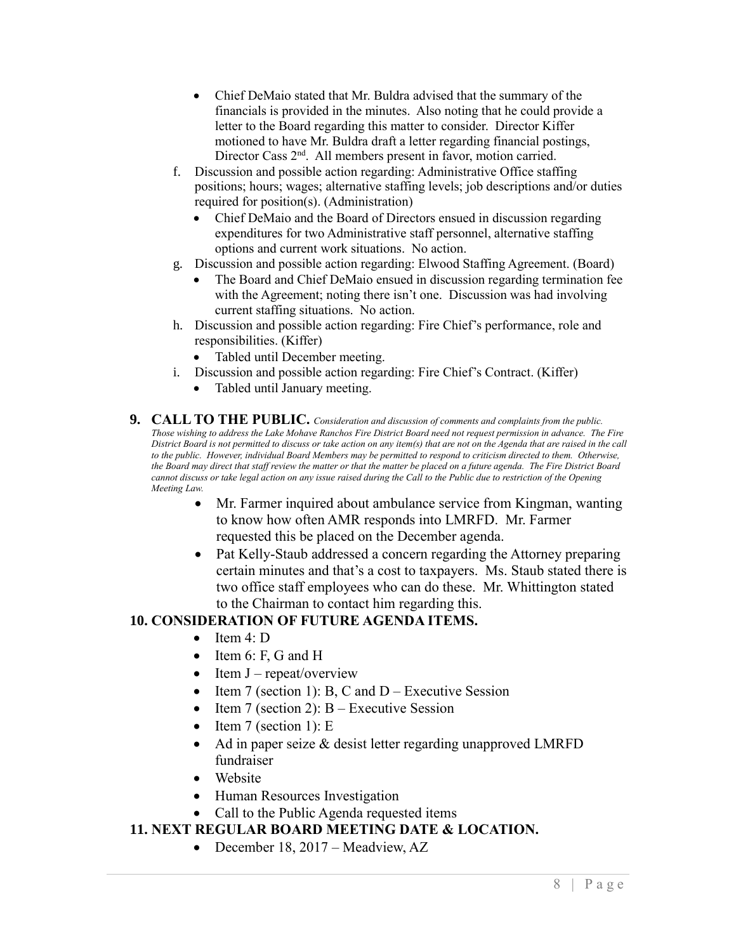- Chief DeMaio stated that Mr. Buldra advised that the summary of the financials is provided in the minutes. Also noting that he could provide a letter to the Board regarding this matter to consider. Director Kiffer motioned to have Mr. Buldra draft a letter regarding financial postings, Director Cass 2<sup>nd</sup>. All members present in favor, motion carried.
- f. Discussion and possible action regarding: Administrative Office staffing positions; hours; wages; alternative staffing levels; job descriptions and/or duties required for position(s). (Administration)
	- Chief DeMaio and the Board of Directors ensued in discussion regarding expenditures for two Administrative staff personnel, alternative staffing options and current work situations. No action.
- g. Discussion and possible action regarding: Elwood Staffing Agreement. (Board)
	- The Board and Chief DeMaio ensued in discussion regarding termination fee with the Agreement; noting there isn't one. Discussion was had involving current staffing situations. No action.
- h. Discussion and possible action regarding: Fire Chief's performance, role and responsibilities. (Kiffer)
	- Tabled until December meeting.
- i. Discussion and possible action regarding: Fire Chief's Contract. (Kiffer)
	- Tabled until January meeting.
- **9. CALL TO THE PUBLIC.** *Consideration and discussion of comments and complaints from the public. Those wishing to address the Lake Mohave Ranchos Fire District Board need not request permission in advance. The Fire District Board is not permitted to discuss or take action on any item(s) that are not on the Agenda that are raised in the call to the public. However, individual Board Members may be permitted to respond to criticism directed to them. Otherwise, the Board may direct that staff review the matter or that the matter be placed on a future agenda. The Fire District Board cannot discuss or take legal action on any issue raised during the Call to the Public due to restriction of the Opening Meeting Law.*
	- Mr. Farmer inquired about ambulance service from Kingman, wanting to know how often AMR responds into LMRFD. Mr. Farmer requested this be placed on the December agenda.
	- Pat Kelly-Staub addressed a concern regarding the Attorney preparing certain minutes and that's a cost to taxpayers. Ms. Staub stated there is two office staff employees who can do these. Mr. Whittington stated to the Chairman to contact him regarding this.

### **10. CONSIDERATION OF FUTURE AGENDA ITEMS.**

- Item  $4 \cdot D$
- Item 6: F, G and H
- Item  $J$  repeat/overview
- Item 7 (section 1): B, C and  $D$  Executive Session
- Item 7 (section 2):  $B -$  Executive Session
- Item 7 (section 1):  $E$
- Ad in paper seize & desist letter regarding unapproved LMRFD fundraiser
- Website
- Human Resources Investigation
- Call to the Public Agenda requested items

#### **11. NEXT REGULAR BOARD MEETING DATE & LOCATION.**

• December 18, 2017 – Meadview, AZ